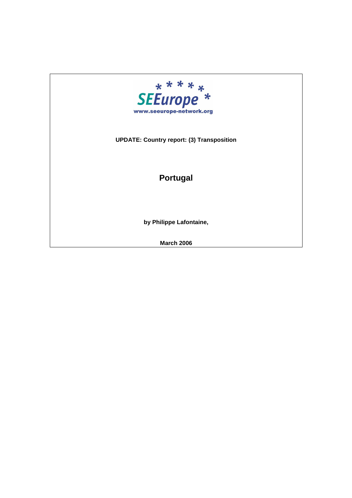

## **UPDATE: Country report: (3) Transposition**

## **Portugal**

**by Philippe Lafontaine,** 

**March 2006**